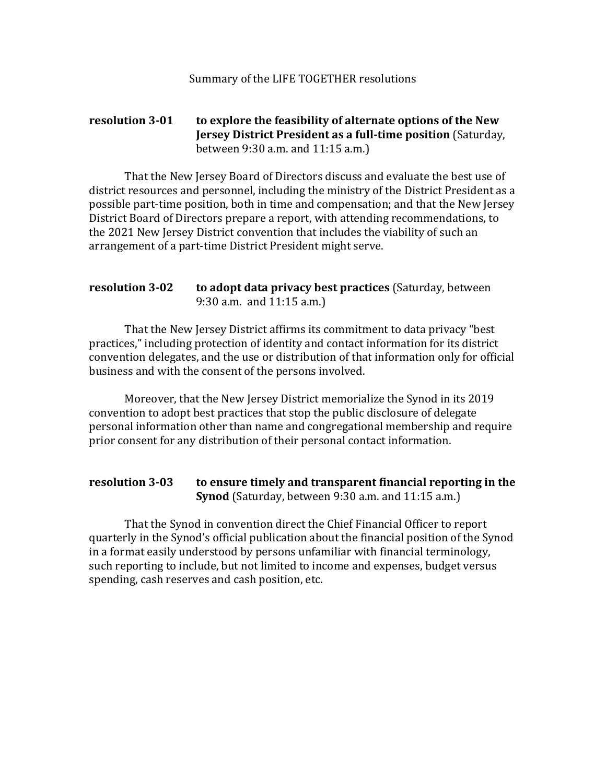## **resolution 3-01** to explore the feasibility of alternate options of the New **Jersey District President as a full-time position** (Saturday, between  $9:30$  a.m. and  $11:15$  a.m.)

That the New Jersey Board of Directors discuss and evaluate the best use of district resources and personnel, including the ministry of the District President as a possible part-time position, both in time and compensation; and that the New Jersey District Board of Directors prepare a report, with attending recommendations, to the 2021 New Jersey District convention that includes the viability of such an arrangement of a part-time District President might serve.

## **resolution 3-02 to adopt data privacy best practices** (Saturday, between 9:30 a.m. and  $11:15$  a.m.)

That the New Jersey District affirms its commitment to data privacy "best practices," including protection of identity and contact information for its district convention delegates, and the use or distribution of that information only for official business and with the consent of the persons involved.

Moreover, that the New Jersey District memorialize the Synod in its 2019 convention to adopt best practices that stop the public disclosure of delegate personal information other than name and congregational membership and require prior consent for any distribution of their personal contact information.

## resolution 3-03 to ensure timely and transparent financial reporting in the **Synod** (Saturday, between 9:30 a.m. and 11:15 a.m.)

That the Synod in convention direct the Chief Financial Officer to report quarterly in the Synod's official publication about the financial position of the Synod in a format easily understood by persons unfamiliar with financial terminology, such reporting to include, but not limited to income and expenses, budget versus spending, cash reserves and cash position, etc.